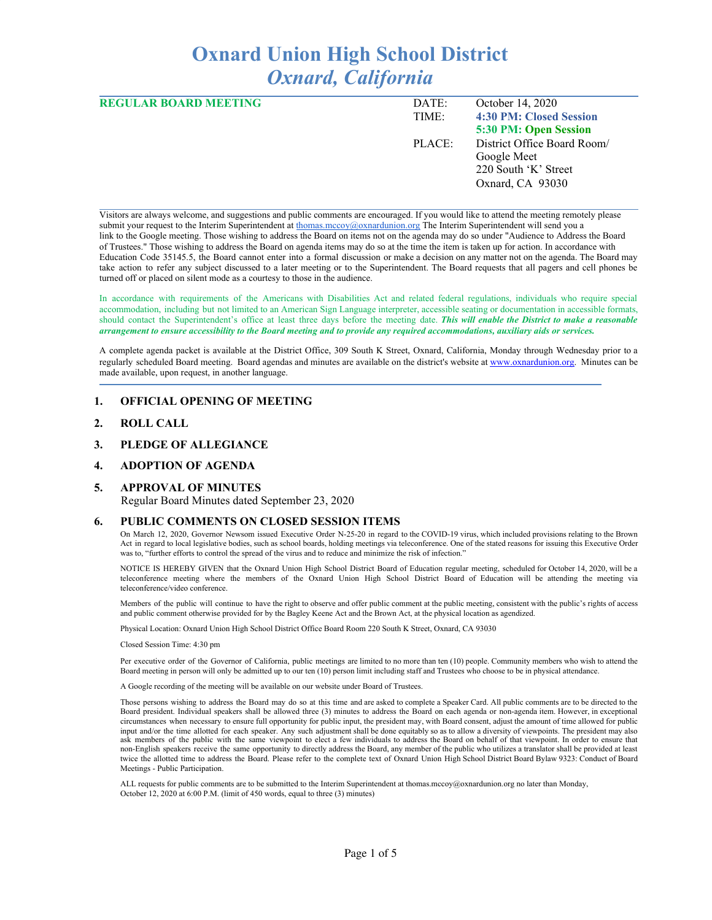# **Oxnard Union High School District** *Oxnard, California*

| <b>REGULAR BOARD MEETING</b> | DATE:  | October 14, 2020            |
|------------------------------|--------|-----------------------------|
|                              | TIME:  | 4:30 PM: Closed Session     |
|                              |        | 5:30 PM: Open Session       |
|                              | PLACE: | District Office Board Room/ |
|                              |        | Google Meet                 |
|                              |        | 220 South 'K' Street        |
|                              |        | Oxnard, CA 93030            |
|                              |        |                             |

Visitors are always welcome, and suggestions and public comments are encouraged. If you would like to attend the meeting remotely please submit your request to the Interim Superintendent at [thomas.mccoy@oxnardunion.org](mailto:thomas.mccoy@oxnardunion.org) The Interim Superintendent will send you a link to the Google meeting. Those wishing to address the Board on items not on the agenda may do so under "Audience to Address the Board of Trustees." Those wishing to address the Board on agenda items may do so at the time the item is taken up for action. In accordance with Education Code 35145.5, the Board cannot enter into a formal discussion or make a decision on any matter not on the agenda. The Board may take action to refer any subject discussed to a later meeting or to the Superintendent. The Board requests that all pagers and cell phones be turned off or placed on silent mode as a courtesy to those in the audience.

In accordance with requirements of the Americans with Disabilities Act and related federal regulations, individuals who require special accommodation, including but not limited to an American Sign Language interpreter, accessible seating or documentation in accessible formats, should contact the Superintendent's office at least three days before the meeting date. *This will enable the District to make a reasonable* arrangement to ensure accessibility to the Board meeting and to provide any required accommodations, auxiliary aids or services.

A complete agenda packet is available at the District Office, 309 South K Street, Oxnard, California, Monday through Wednesday prior to a regularly scheduled Board meeting. Board agendas and minutes are available on the district's website at [www.ox](http://www.o/)nardunion.org. Minutes can be made available, upon request, in another language.

### **1. OFFICIAL OPENING OF MEETING**

- **2. ROLL CALL**
- **3. PLEDGE OF ALLEGIANCE**

#### **4. ADOPTION OF AGENDA**

#### **5. APPROVAL OF MINUTES**

Regular Board Minutes dated September 23, 2020

#### **6. PUBLIC COMMENTS ON CLOSED SESSION ITEMS**

On March 12, 2020, Governor Newsom issued Executive Order N-25-20 in regard to the COVID-19 virus, which included provisions relating to the Brown Act in regard to local legislative bodies, such as school boards, holding meetings via teleconference. One of the stated reasons for issuing this Executive Order was to, "further efforts to control the spread of the virus and to reduce and minimize the risk of infection."

NOTICE IS HEREBY GIVEN that the Oxnard Union High School District Board of Education regular meeting, scheduled for October 14, 2020, will be a teleconference meeting where the members of the Oxnard Union High School District Board of Education will be attending the meeting via teleconference/video conference.

Members of the public will continue to have the right to observe and offer public comment at the public meeting, consistent with the public's rights of access and public comment otherwise provided for by the Bagley Keene Act and the Brown Act, at the physical location as agendized.

Physical Location: Oxnard Union High School District Office Board Room 220 South K Street, Oxnard, CA 93030

Closed Session Time: 4:30 pm

Per executive order of the Governor of California, public meetings are limited to no more than ten (10) people. Community members who wish to attend the Board meeting in person will only be admitted up to our ten (10) person limit including staff and Trustees who choose to be in physical attendance.

A Google recording of the meeting will be available on our website under Board of Trustees.

Those persons wishing to address the Board may do so at this time and are asked to complete a Speaker Card. All public comments are to be directed to the Board president. Individual speakers shall be allowed three (3) minutes to address the Board on each agenda or non-agenda item. However, in exceptional circumstances when necessary to ensure full opportunity for public input, the president may, with Board consent, adjust the amount of time allowed for public input and/or the time allotted for each speaker. Any such adjustment shall be done equitably so as to allow a diversity of viewpoints. The president may also ask members of the public with the same viewpoint to elect a few individuals to address the Board on behalf of that viewpoint. In order to ensure that non-English speakers receive the same opportunity to directly address the Board, any member of the public who utilizes a translator shall be provided at least twice the allotted time to address the Board. Please refer to the complete text of Oxnard Union High School District Board Bylaw 9323: Conduct of Board Meetings - Public Participation.

ALL requests for public comments are to be submitted to the Interim Superintendent at thomas.mccoy@oxnardunion.org no later than Monday, October 12, 2020 at 6:00 P.M. (limit of 450 words, equal to three (3) minutes)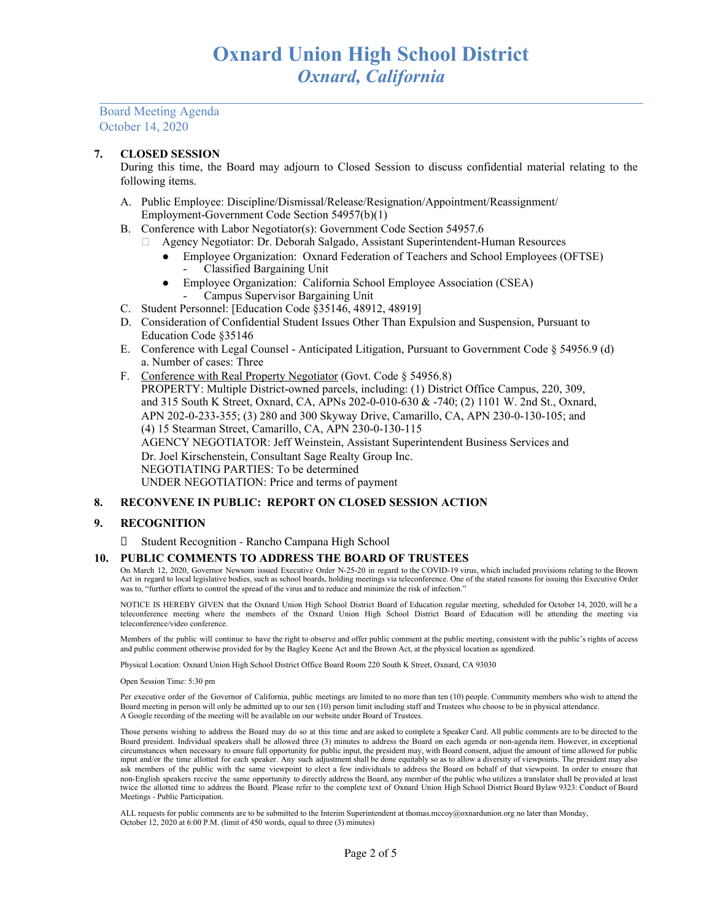## **7. CLOSED SESSION**

During this time, the Board may adjourn to Closed Session to discuss confidential material relating to the following items.

- A. Public Employee: Discipline/Dismissal/Release/Resignation/Appointment/Reassignment/ Employment-Government Code Section 54957(b)(1)
- B. Conference with Labor Negotiator(s): Government Code Section 54957.6
	- Agency Negotiator: Dr. Deborah Salgado, Assistant Superintendent-Human Resources
		- Employee Organization: Oxnard Federation of Teachers and School Employees (OFTSE) - Classified Bargaining Unit
		- Employee Organization: California School Employee Association (CSEA) - Campus Supervisor Bargaining Unit
- C. Student Personnel: [Education Code §35146, 48912, 48919]
- D. Consideration of Confidential Student Issues Other Than Expulsion and Suspension, Pursuant to Education Code §35146
- E. Conference with Legal Counsel Anticipated Litigation, Pursuant to Government Code § 54956.9 (d) a. Number of cases: Three
- F. Conference with Real Property Negotiator (Govt. Code § 54956.8) PROPERTY: Multiple District-owned parcels, including: (1) District Office Campus, 220, 309, and 315 South K Street, Oxnard, CA, APNs 202-0-010-630 & -740; (2) 1101 W. 2nd St., Oxnard, APN 202-0-233-355; (3) 280 and 300 Skyway Drive, Camarillo, CA, APN 230-0-130-105; and (4) 15 Stearman Street, Camarillo, CA, APN 230-0-130-115 AGENCY NEGOTIATOR: Jeff Weinstein, Assistant Superintendent Business Services and Dr. Joel Kirschenstein, Consultant Sage Realty Group Inc. NEGOTIATING PARTIES: To be determined UNDER NEGOTIATION: Price and terms of payment

### **8. RECONVENE IN PUBLIC: REPORT ON CLOSED SESSION ACTION**

### **9. RECOGNITION**

Student Recognition - Rancho Campana High School

### **10. PUBLIC COMMENTS TO ADDRESS THE BOARD OF TRUSTEES**

On March 12, 2020, Governor Newsom issued Executive Order N-25-20 in regard to the COVID-19 virus, which included provisions relating to the Brown Act in regard to local legislative bodies, such as school boards, holding meetings via teleconference. One of the stated reasons for issuing this Executive Order was to, "further efforts to control the spread of the virus and to reduce and minimize the risk of infection."

NOTICE IS HEREBY GIVEN that the Oxnard Union High School District Board of Education regular meeting, scheduled for October 14, 2020, will be a teleconference meeting where the members of the Oxnard Union High School District Board of Education will be attending the meeting via teleconference/video conference.

Members of the public will continue to have the right to observe and offer public comment at the public meeting, consistent with the public's rights of access and public comment otherwise provided for by the Bagley Keene Act and the Brown Act, at the physical location as agendized.

Physical Location: Oxnard Union High School District Office Board Room 220 South K Street, Oxnard, CA 93030

Open Session Time: 5:30 pm

Per executive order of the Governor of California, public meetings are limited to no more than ten (10) people. Community members who wish to attend the Board meeting in person will only be admitted up to our ten (10) person limit including staff and Trustees who choose to be in physical attendance. A Google recording of the meeting will be available on our website under Board of Trustees.

Those persons wishing to address the Board may do so at this time and are asked to complete a Speaker Card. All public comments are to be directed to the Board president. Individual speakers shall be allowed three (3) minutes to address the Board on each agenda or non-agenda item. However, in exceptional circumstances when necessary to ensure full opportunity for public input, the president may, with Board consent, adjust the amount of time allowed for public input and/or the time allotted for each speaker. Any such adjustment shall be done equitably so as to allow a diversity of viewpoints. The president may also ask members of the public with the same viewpoint to elect a few individuals to address the Board on behalf of that viewpoint. In order to ensure that non-English speakers receive the same opportunity to directly address the Board, any member of the public who utilizes a translator shall be provided at least twice the allotted time to address the Board. Please refer to the complete text of Oxnard Union High School District Board Bylaw 9323: Conduct of Board Meetings - Public Participation.

ALL requests for public comments are to be submitted to the Interim Superintendent at thomas.mccoy@oxnardunion.org no later than Monday, October 12, 2020 at 6:00 P.M. (limit of 450 words, equal to three (3) minutes)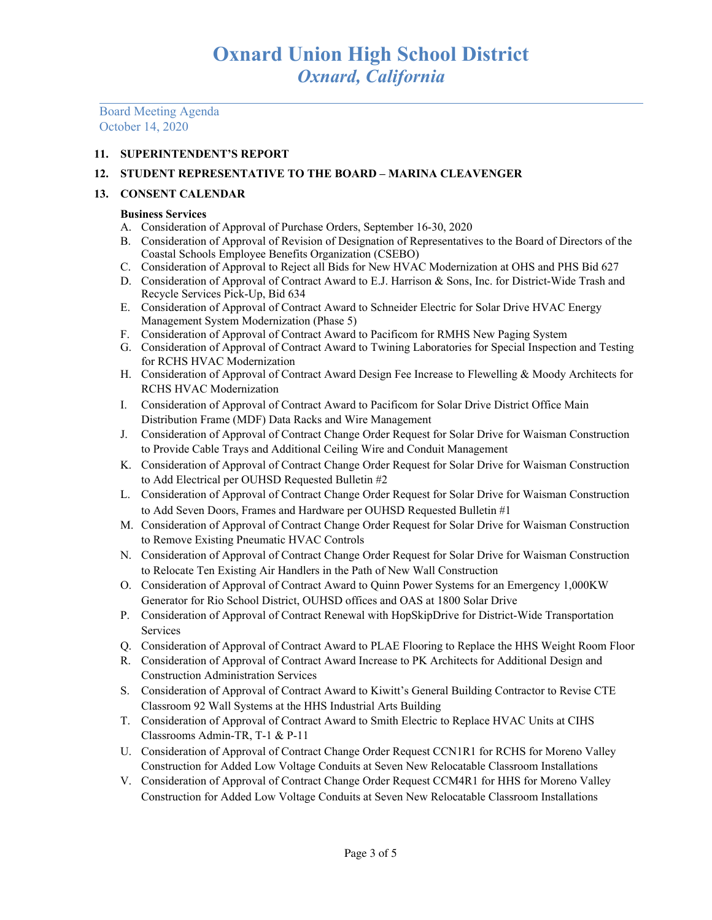# **11. SUPERINTENDENT'S REPORT**

# **12. STUDENT REPRESENTATIVE TO THE BOARD – MARINA CLEAVENGER**

# **13. CONSENT CALENDAR**

## **Business Services**

- A. Consideration of Approval of Purchase Orders, September 16-30, 2020
- B. Consideration of Approval of Revision of Designation of Representatives to the Board of Directors of the Coastal Schools Employee Benefits Organization (CSEBO)
- C. Consideration of Approval to Reject all Bids for New HVAC Modernization at OHS and PHS Bid 627
- D. Consideration of Approval of Contract Award to E.J. Harrison & Sons, Inc. for District-Wide Trash and Recycle Services Pick-Up, Bid 634
- E. Consideration of Approval of Contract Award to Schneider Electric for Solar Drive HVAC Energy Management System Modernization (Phase 5)
- F. Consideration of Approval of Contract Award to Pacificom for RMHS New Paging System
- G. Consideration of Approval of Contract Award to Twining Laboratories for Special Inspection and Testing for RCHS HVAC Modernization
- H. Consideration of Approval of Contract Award Design Fee Increase to Flewelling & Moody Architects for RCHS HVAC Modernization
- I. Consideration of Approval of Contract Award to Pacificom for Solar Drive District Office Main Distribution Frame (MDF) Data Racks and Wire Management
- J. Consideration of Approval of Contract Change Order Request for Solar Drive for Waisman Construction to Provide Cable Trays and Additional Ceiling Wire and Conduit Management
- K. Consideration of Approval of Contract Change Order Request for Solar Drive for Waisman Construction to Add Electrical per OUHSD Requested Bulletin #2
- L. Consideration of Approval of Contract Change Order Request for Solar Drive for Waisman Construction to Add Seven Doors, Frames and Hardware per OUHSD Requested Bulletin #1
- M. Consideration of Approval of Contract Change Order Request for Solar Drive for Waisman Construction to Remove Existing Pneumatic HVAC Controls
- N. Consideration of Approval of Contract Change Order Request for Solar Drive for Waisman Construction to Relocate Ten Existing Air Handlers in the Path of New Wall Construction
- O. Consideration of Approval of Contract Award to Quinn Power Systems for an Emergency 1,000KW Generator for Rio School District, OUHSD offices and OAS at 1800 Solar Drive
- P. Consideration of Approval of Contract Renewal with HopSkipDrive for District-Wide Transportation Services
- Q. Consideration of Approval of Contract Award to PLAE Flooring to Replace the HHS Weight Room Floor
- R. Consideration of Approval of Contract Award Increase to PK Architects for Additional Design and Construction Administration Services
- S. Consideration of Approval of Contract Award to Kiwitt's General Building Contractor to Revise CTE Classroom 92 Wall Systems at the HHS Industrial Arts Building
- T. Consideration of Approval of Contract Award to Smith Electric to Replace HVAC Units at CIHS Classrooms Admin-TR, T-1 & P-11
- U. Consideration of Approval of Contract Change Order Request CCN1R1 for RCHS for Moreno Valley Construction for Added Low Voltage Conduits at Seven New Relocatable Classroom Installations
- V. Consideration of Approval of Contract Change Order Request CCM4R1 for HHS for Moreno Valley Construction for Added Low Voltage Conduits at Seven New Relocatable Classroom Installations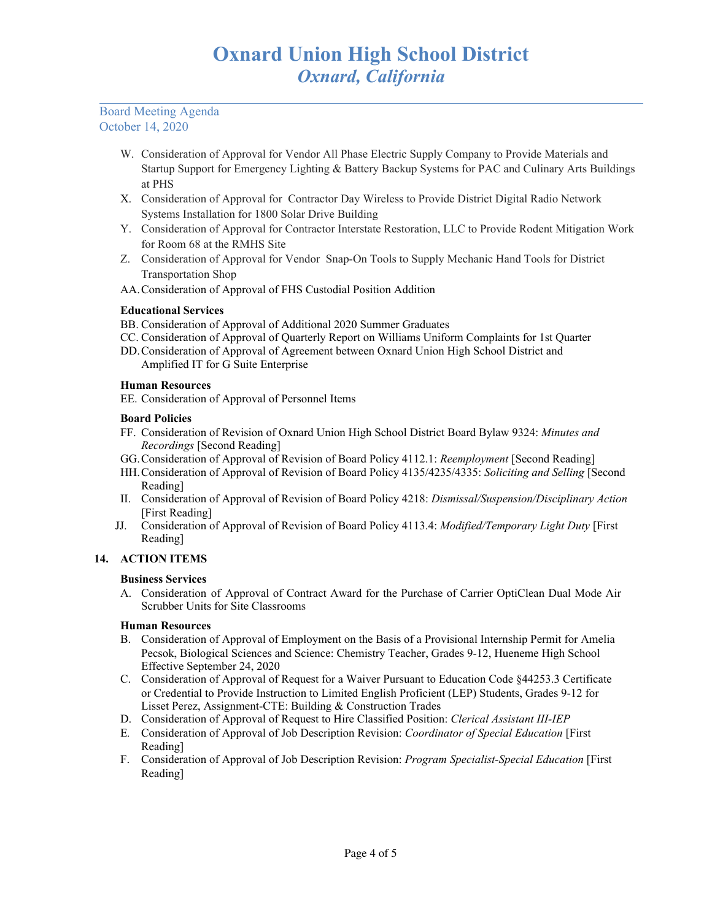- W. Consideration of Approval for Vendor All Phase Electric Supply Company to Provide Materials and Startup Support for Emergency Lighting & Battery Backup Systems for PAC and Culinary Arts Buildings at PHS
- X. Consideration of Approval for Contractor Day Wireless to Provide District Digital Radio Network Systems Installation for 1800 Solar Drive Building
- Y. Consideration of Approval for Contractor Interstate Restoration, LLC to Provide Rodent Mitigation Work for Room 68 at the RMHS Site
- Z. Consideration of Approval for Vendor Snap-On Tools to Supply Mechanic Hand Tools for District Transportation Shop
- AA.Consideration of Approval of FHS Custodial Position Addition

# **Educational Services**

- BB. Consideration of Approval of Additional 2020 Summer Graduates
- CC. Consideration of Approval of Quarterly Report on Williams Uniform Complaints for 1st Quarter
- DD.Consideration of Approval of Agreement between Oxnard Union High School District and Amplified IT for G Suite Enterprise

# **Human Resources**

EE. Consideration of Approval of Personnel Items

## **Board Policies**

- FF. Consideration of Revision of Oxnard Union High School District Board Bylaw 9324: *Minutes and Recordings* [Second Reading]
- GG.Consideration of Approval of Revision of Board Policy 4112.1: *Reemployment* [Second Reading]
- HH.Consideration of Approval of Revision of Board Policy 4135/4235/4335: *Soliciting and Selling* [Second Reading]
- II. Consideration of Approval of Revision of Board Policy 4218: *Dismissal/Suspension/Disciplinary Action* [First Reading]
- JJ. Consideration of Approval of Revision of Board Policy 4113.4: *Modified/Temporary Light Duty* [First Reading]

# **14. ACTION ITEMS**

## **Business Services**

A. Consideration of Approval of Contract Award for the Purchase of Carrier OptiClean Dual Mode Air Scrubber Units for Site Classrooms

## **Human Resources**

- B. Consideration of Approval of Employment on the Basis of a Provisional Internship Permit for Amelia Pecsok, Biological Sciences and Science: Chemistry Teacher, Grades 9-12, Hueneme High School Effective September 24, 2020
- C. Consideration of Approval of Request for a Waiver Pursuant to Education Code §44253.3 Certificate or Credential to Provide Instruction to Limited English Proficient (LEP) Students, Grades 9-12 for Lisset Perez, Assignment-CTE: Building & Construction Trades
- D. Consideration of Approval of Request to Hire Classified Position: *Clerical Assistant III-IEP*
- E*.* Consideration of Approval of Job Description Revision: *Coordinator of Special Education* [First Reading]
- F. Consideration of Approval of Job Description Revision: *Program Specialist-Special Education* [First Reading]